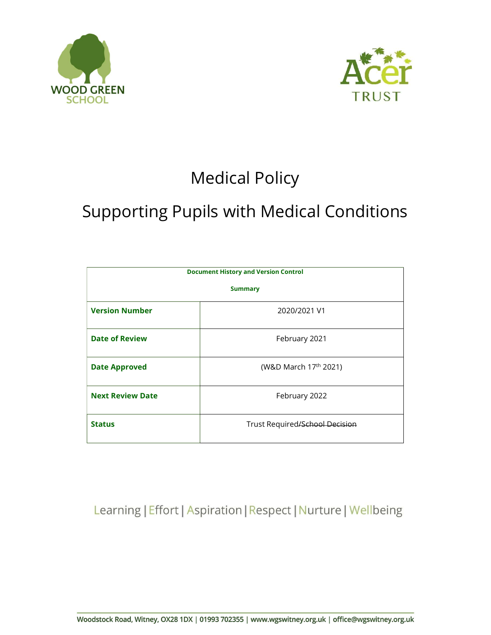



# Medical Policy

# Supporting Pupils with Medical Conditions

| <b>Document History and Version Control</b> |                                   |  |  |
|---------------------------------------------|-----------------------------------|--|--|
| <b>Summary</b>                              |                                   |  |  |
| <b>Version Number</b>                       | 2020/2021 V1                      |  |  |
| <b>Date of Review</b>                       | February 2021                     |  |  |
| <b>Date Approved</b>                        | (W&D March 17 <sup>th</sup> 2021) |  |  |
| <b>Next Review Date</b>                     | February 2022                     |  |  |
| <b>Status</b>                               | Trust Required/School Decision    |  |  |

Learning | Effort | Aspiration | Respect | Nurture | Wellbeing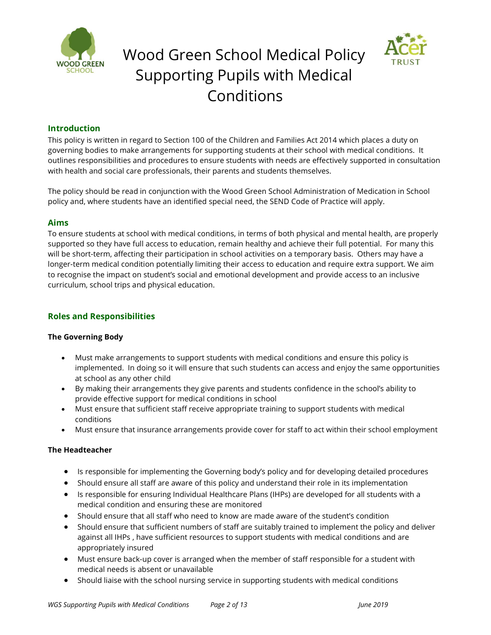





#### Introduction

This policy is written in regard to Section 100 of the Children and Families Act 2014 which places a duty on governing bodies to make arrangements for supporting students at their school with medical conditions. It outlines responsibilities and procedures to ensure students with needs are effectively supported in consultation with health and social care professionals, their parents and students themselves.

The policy should be read in conjunction with the Wood Green School Administration of Medication in School policy and, where students have an identified special need, the SEND Code of Practice will apply.

#### Aims

To ensure students at school with medical conditions, in terms of both physical and mental health, are properly supported so they have full access to education, remain healthy and achieve their full potential. For many this will be short-term, affecting their participation in school activities on a temporary basis. Others may have a longer-term medical condition potentially limiting their access to education and require extra support. We aim to recognise the impact on student's social and emotional development and provide access to an inclusive curriculum, school trips and physical education.

### Roles and Responsibilities

#### The Governing Body

- Must make arrangements to support students with medical conditions and ensure this policy is implemented. In doing so it will ensure that such students can access and enjoy the same opportunities at school as any other child
- By making their arrangements they give parents and students confidence in the school's ability to provide effective support for medical conditions in school
- Must ensure that sufficient staff receive appropriate training to support students with medical conditions
- Must ensure that insurance arrangements provide cover for staff to act within their school employment

#### The Headteacher

- Is responsible for implementing the Governing body's policy and for developing detailed procedures
- Should ensure all staff are aware of this policy and understand their role in its implementation
- Is responsible for ensuring Individual Healthcare Plans (IHPs) are developed for all students with a medical condition and ensuring these are monitored
- Should ensure that all staff who need to know are made aware of the student's condition
- Should ensure that sufficient numbers of staff are suitably trained to implement the policy and deliver against all IHPs , have sufficient resources to support students with medical conditions and are appropriately insured
- Must ensure back-up cover is arranged when the member of staff responsible for a student with medical needs is absent or unavailable
- Should liaise with the school nursing service in supporting students with medical conditions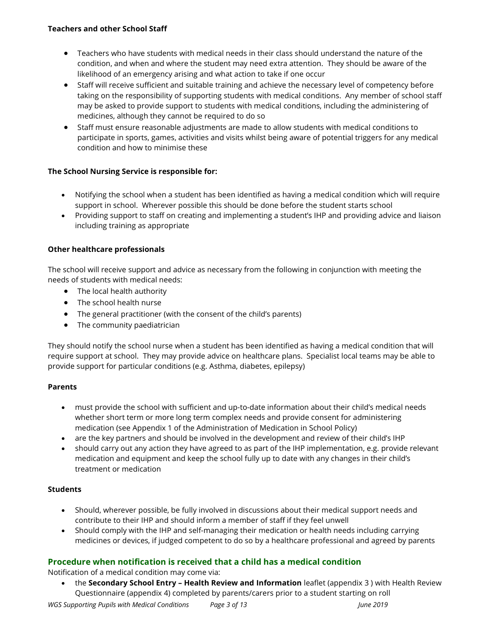- Teachers who have students with medical needs in their class should understand the nature of the condition, and when and where the student may need extra attention. They should be aware of the likelihood of an emergency arising and what action to take if one occur
- Staff will receive sufficient and suitable training and achieve the necessary level of competency before taking on the responsibility of supporting students with medical conditions. Any member of school staff may be asked to provide support to students with medical conditions, including the administering of medicines, although they cannot be required to do so
- Staff must ensure reasonable adjustments are made to allow students with medical conditions to participate in sports, games, activities and visits whilst being aware of potential triggers for any medical condition and how to minimise these

# The School Nursing Service is responsible for:

- Notifying the school when a student has been identified as having a medical condition which will require support in school. Wherever possible this should be done before the student starts school
- Providing support to staff on creating and implementing a student's IHP and providing advice and liaison including training as appropriate

# Other healthcare professionals

The school will receive support and advice as necessary from the following in conjunction with meeting the needs of students with medical needs:

- The local health authority
- The school health nurse
- The general practitioner (with the consent of the child's parents)
- The community paediatrician

They should notify the school nurse when a student has been identified as having a medical condition that will require support at school. They may provide advice on healthcare plans. Specialist local teams may be able to provide support for particular conditions (e.g. Asthma, diabetes, epilepsy)

# Parents

- must provide the school with sufficient and up-to-date information about their child's medical needs whether short term or more long term complex needs and provide consent for administering medication (see Appendix 1 of the Administration of Medication in School Policy)
- are the key partners and should be involved in the development and review of their child's IHP
- should carry out any action they have agreed to as part of the IHP implementation, e.g. provide relevant medication and equipment and keep the school fully up to date with any changes in their child's treatment or medication

# **Students**

- Should, wherever possible, be fully involved in discussions about their medical support needs and contribute to their IHP and should inform a member of staff if they feel unwell
- Should comply with the IHP and self-managing their medication or health needs including carrying medicines or devices, if judged competent to do so by a healthcare professional and agreed by parents

# Procedure when notification is received that a child has a medical condition

Notification of a medical condition may come via:

• the Secondary School Entry - Health Review and Information leaflet (appendix 3) with Health Review Questionnaire (appendix 4) completed by parents/carers prior to a student starting on roll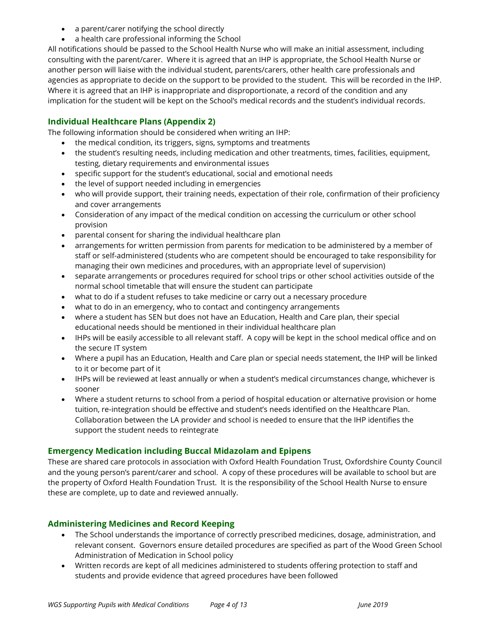- a parent/carer notifying the school directly
- a health care professional informing the School

All notifications should be passed to the School Health Nurse who will make an initial assessment, including consulting with the parent/carer. Where it is agreed that an IHP is appropriate, the School Health Nurse or another person will liaise with the individual student, parents/carers, other health care professionals and agencies as appropriate to decide on the support to be provided to the student. This will be recorded in the IHP. Where it is agreed that an IHP is inappropriate and disproportionate, a record of the condition and any implication for the student will be kept on the School's medical records and the student's individual records.

# Individual Healthcare Plans (Appendix 2)

The following information should be considered when writing an IHP:

- the medical condition, its triggers, signs, symptoms and treatments
- the student's resulting needs, including medication and other treatments, times, facilities, equipment, testing, dietary requirements and environmental issues
- specific support for the student's educational, social and emotional needs
- the level of support needed including in emergencies
- who will provide support, their training needs, expectation of their role, confirmation of their proficiency and cover arrangements
- Consideration of any impact of the medical condition on accessing the curriculum or other school provision
- parental consent for sharing the individual healthcare plan
- arrangements for written permission from parents for medication to be administered by a member of staff or self-administered (students who are competent should be encouraged to take responsibility for managing their own medicines and procedures, with an appropriate level of supervision)
- separate arrangements or procedures required for school trips or other school activities outside of the normal school timetable that will ensure the student can participate
- what to do if a student refuses to take medicine or carry out a necessary procedure
- what to do in an emergency, who to contact and contingency arrangements
- where a student has SEN but does not have an Education, Health and Care plan, their special educational needs should be mentioned in their individual healthcare plan
- IHPs will be easily accessible to all relevant staff. A copy will be kept in the school medical office and on the secure IT system
- Where a pupil has an Education, Health and Care plan or special needs statement, the IHP will be linked to it or become part of it
- IHPs will be reviewed at least annually or when a student's medical circumstances change, whichever is sooner
- Where a student returns to school from a period of hospital education or alternative provision or home tuition, re-integration should be effective and student's needs identified on the Healthcare Plan. Collaboration between the LA provider and school is needed to ensure that the IHP identifies the support the student needs to reintegrate

# Emergency Medication including Buccal Midazolam and Epipens

These are shared care protocols in association with Oxford Health Foundation Trust, Oxfordshire County Council and the young person's parent/carer and school. A copy of these procedures will be available to school but are the property of Oxford Health Foundation Trust. It is the responsibility of the School Health Nurse to ensure these are complete, up to date and reviewed annually.

# Administering Medicines and Record Keeping

- The School understands the importance of correctly prescribed medicines, dosage, administration, and relevant consent. Governors ensure detailed procedures are specified as part of the Wood Green School Administration of Medication in School policy
- Written records are kept of all medicines administered to students offering protection to staff and students and provide evidence that agreed procedures have been followed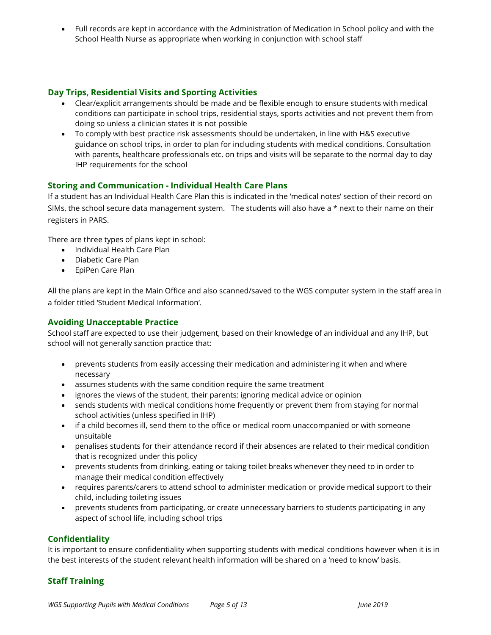Full records are kept in accordance with the Administration of Medication in School policy and with the School Health Nurse as appropriate when working in conjunction with school staff

## Day Trips, Residential Visits and Sporting Activities

- Clear/explicit arrangements should be made and be flexible enough to ensure students with medical conditions can participate in school trips, residential stays, sports activities and not prevent them from doing so unless a clinician states it is not possible
- To comply with best practice risk assessments should be undertaken, in line with H&S executive guidance on school trips, in order to plan for including students with medical conditions. Consultation with parents, healthcare professionals etc. on trips and visits will be separate to the normal day to day IHP requirements for the school

## Storing and Communication - Individual Health Care Plans

If a student has an Individual Health Care Plan this is indicated in the 'medical notes' section of their record on SIMs, the school secure data management system. The students will also have a  $*$  next to their name on their registers in PARS.

There are three types of plans kept in school:

- Individual Health Care Plan
- Diabetic Care Plan
- EpiPen Care Plan

All the plans are kept in the Main Office and also scanned/saved to the WGS computer system in the staff area in a folder titled 'Student Medical Information'.

### Avoiding Unacceptable Practice

School staff are expected to use their judgement, based on their knowledge of an individual and any IHP, but school will not generally sanction practice that:

- prevents students from easily accessing their medication and administering it when and where necessary
- assumes students with the same condition require the same treatment
- ignores the views of the student, their parents; ignoring medical advice or opinion
- sends students with medical conditions home frequently or prevent them from staying for normal school activities (unless specified in IHP)
- if a child becomes ill, send them to the office or medical room unaccompanied or with someone unsuitable
- penalises students for their attendance record if their absences are related to their medical condition that is recognized under this policy
- prevents students from drinking, eating or taking toilet breaks whenever they need to in order to manage their medical condition effectively
- requires parents/carers to attend school to administer medication or provide medical support to their child, including toileting issues
- prevents students from participating, or create unnecessary barriers to students participating in any aspect of school life, including school trips

#### Confidentiality

It is important to ensure confidentiality when supporting students with medical conditions however when it is in the best interests of the student relevant health information will be shared on a 'need to know' basis.

#### Staff Training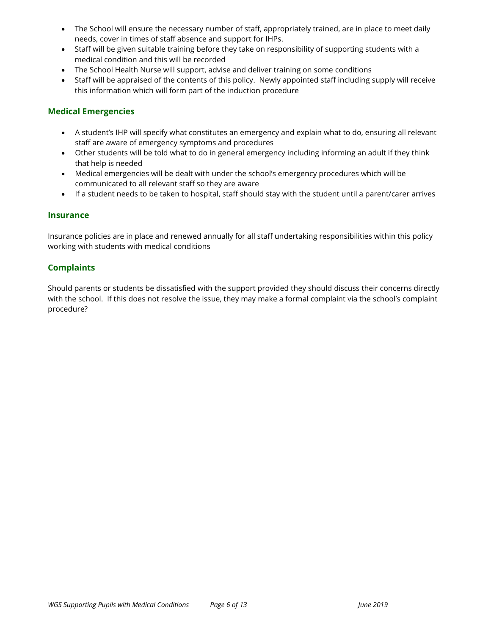- The School will ensure the necessary number of staff, appropriately trained, are in place to meet daily needs, cover in times of staff absence and support for IHPs.
- Staff will be given suitable training before they take on responsibility of supporting students with a medical condition and this will be recorded
- The School Health Nurse will support, advise and deliver training on some conditions
- Staff will be appraised of the contents of this policy. Newly appointed staff including supply will receive this information which will form part of the induction procedure

#### Medical Emergencies

- A student's IHP will specify what constitutes an emergency and explain what to do, ensuring all relevant staff are aware of emergency symptoms and procedures
- Other students will be told what to do in general emergency including informing an adult if they think that help is needed
- Medical emergencies will be dealt with under the school's emergency procedures which will be communicated to all relevant staff so they are aware
- If a student needs to be taken to hospital, staff should stay with the student until a parent/carer arrives

#### Insurance

Insurance policies are in place and renewed annually for all staff undertaking responsibilities within this policy working with students with medical conditions

#### **Complaints**

Should parents or students be dissatisfied with the support provided they should discuss their concerns directly with the school. If this does not resolve the issue, they may make a formal complaint via the school's complaint procedure?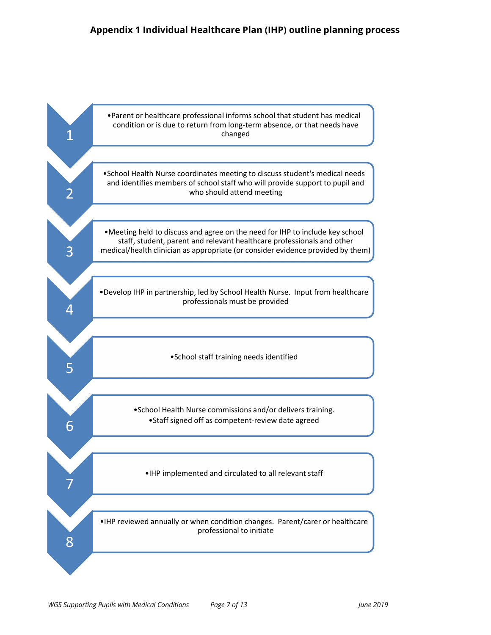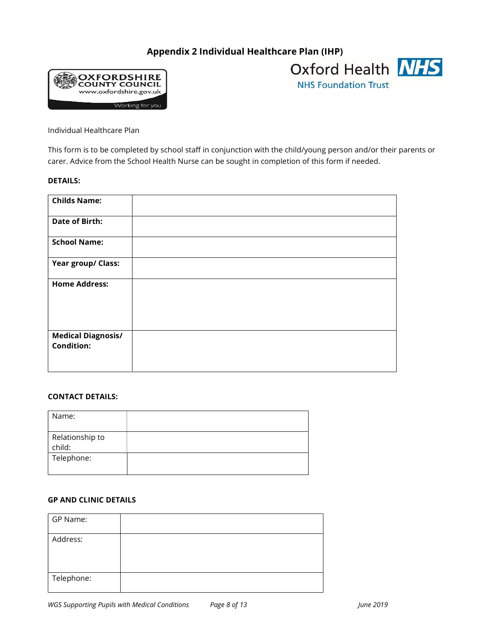# Appendix 2 Individual Healthcare Plan (IHP)





Individual Healthcare Plan

This form is to be completed by school staff in conjunction with the child/young person and/or their parents or carer. Advice from the School Health Nurse can be sought in completion of this form if needed.

#### DETAILS:

| <b>Childs Name:</b>                            |  |
|------------------------------------------------|--|
| <b>Date of Birth:</b>                          |  |
| <b>School Name:</b>                            |  |
| Year group/ Class:                             |  |
| <b>Home Address:</b>                           |  |
| <b>Medical Diagnosis/</b><br><b>Condition:</b> |  |

#### CONTACT DETAILS:

| Name:                     |  |
|---------------------------|--|
| Relationship to<br>child: |  |
| Telephone:                |  |

#### GP AND CLINIC DETAILS

| GP Name:   |  |
|------------|--|
| Address:   |  |
| Telephone: |  |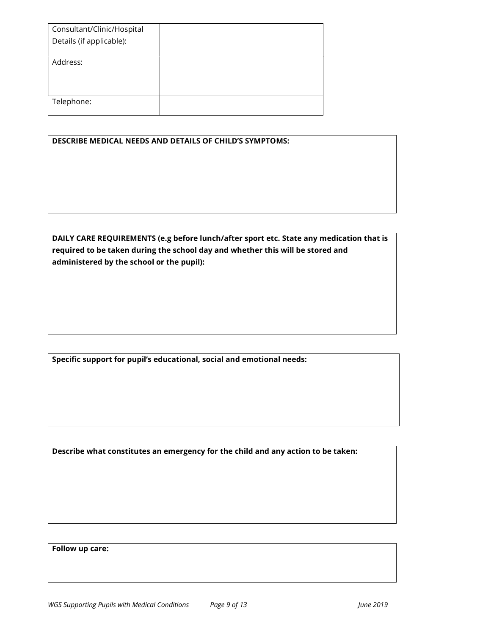| Consultant/Clinic/Hospital |  |
|----------------------------|--|
| Details (if applicable):   |  |
|                            |  |
| Address:                   |  |
|                            |  |
|                            |  |
|                            |  |
| Telephone:                 |  |
|                            |  |

| <b>DESCRIBE MEDICAL NEEDS AND DETAILS OF CHILD'S SYMPTOMS:</b> |  |  |
|----------------------------------------------------------------|--|--|
|----------------------------------------------------------------|--|--|

DAILY CARE REQUIREMENTS (e.g before lunch/after sport etc. State any medication that is required to be taken during the school day and whether this will be stored and administered by the school or the pupil):

Specific support for pupil's educational, social and emotional needs:

Describe what constitutes an emergency for the child and any action to be taken:

Follow up care: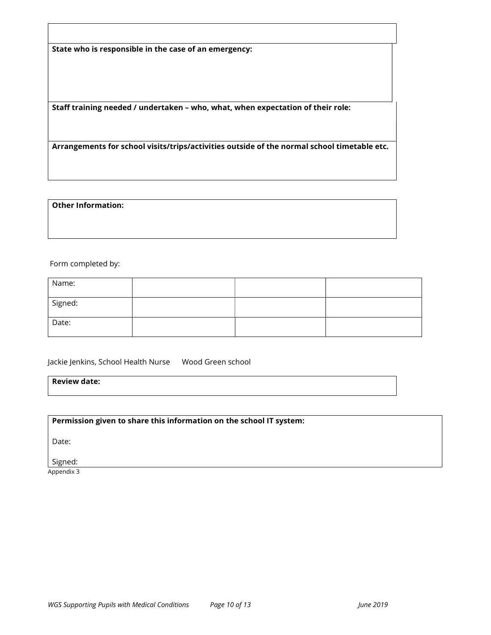State who is responsible in the case of an emergency:

Staff training needed / undertaken – who, what, when expectation of their role:

Arrangements for school visits/trips/activities outside of the normal school timetable etc.

#### Other Information:

Form completed by:

| Name:   |  |  |
|---------|--|--|
| Signed: |  |  |
| Date:   |  |  |

Jackie Jenkins, School Health Nurse Wood Green school

Review date:

Permission given to share this information on the school IT system:

Date:

Signed:

Appendix 3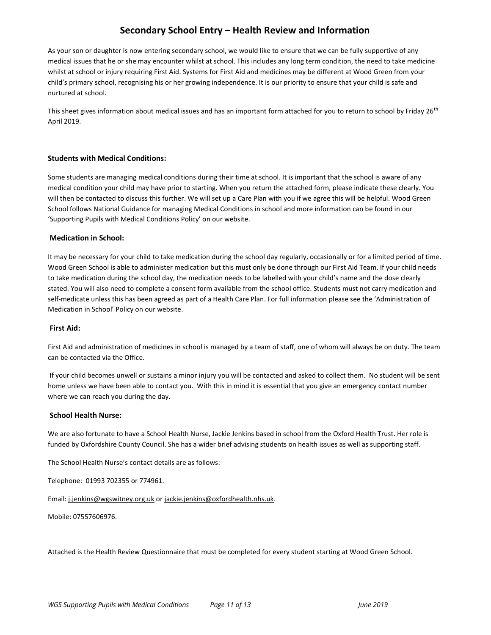# Secondary School Entry – Health Review and Information

As your son or daughter is now entering secondary school, we would like to ensure that we can be fully supportive of any medical issues that he or she may encounter whilst at school. This includes any long term condition, the need to take medicine whilst at school or injury requiring First Aid. Systems for First Aid and medicines may be different at Wood Green from your child's primary school, recognising his or her growing independence. It is our priority to ensure that your child is safe and nurtured at school.

This sheet gives information about medical issues and has an important form attached for you to return to school by Friday 26<sup>th</sup> April 2019.

#### Students with Medical Conditions:

Some students are managing medical conditions during their time at school. It is important that the school is aware of any medical condition your child may have prior to starting. When you return the attached form, please indicate these clearly. You will then be contacted to discuss this further. We will set up a Care Plan with you if we agree this will be helpful. Wood Green School follows National Guidance for managing Medical Conditions in school and more information can be found in our 'Supporting Pupils with Medical Conditions Policy' on our website.

#### Medication in School:

It may be necessary for your child to take medication during the school day regularly, occasionally or for a limited period of time. Wood Green School is able to administer medication but this must only be done through our First Aid Team. If your child needs to take medication during the school day, the medication needs to be labelled with your child's name and the dose clearly stated. You will also need to complete a consent form available from the school office. Students must not carry medication and self-medicate unless this has been agreed as part of a Health Care Plan. For full information please see the 'Administration of Medication in School' Policy on our website.

#### First Aid:

First Aid and administration of medicines in school is managed by a team of staff, one of whom will always be on duty. The team can be contacted via the Office.

 If your child becomes unwell or sustains a minor injury you will be contacted and asked to collect them. No student will be sent home unless we have been able to contact you. With this in mind it is essential that you give an emergency contact number where we can reach you during the day.

#### School Health Nurse:

We are also fortunate to have a School Health Nurse, Jackie Jenkins based in school from the Oxford Health Trust. Her role is funded by Oxfordshire County Council. She has a wider brief advising students on health issues as well as supporting staff.

The School Health Nurse's contact details are as follows:

Telephone: 01993 702355 or 774961.

Email: j.jenkins@wgswitney.org.uk or jackie.jenkins@oxfordhealth.nhs.uk.

Mobile: 07557606976.

Attached is the Health Review Questionnaire that must be completed for every student starting at Wood Green School.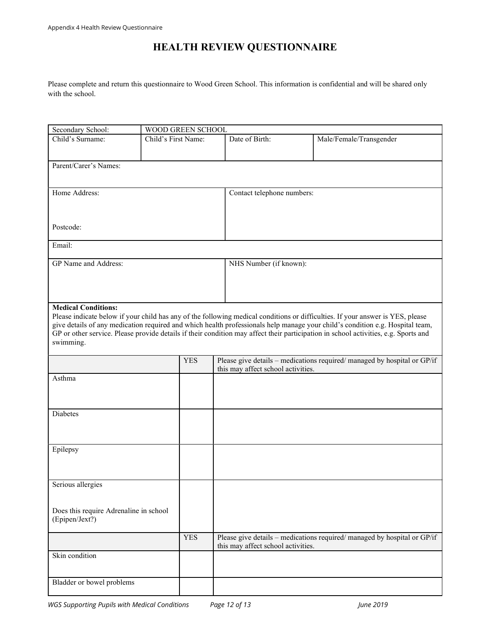# HEALTH REVIEW QUESTIONNAIRE

Please complete and return this questionnaire to Wood Green School. This information is confidential and will be shared only with the school.

| Secondary School:                      | WOOD GREEN SCHOOL   |                                    |                                                                                                                                                                                                                                                                      |
|----------------------------------------|---------------------|------------------------------------|----------------------------------------------------------------------------------------------------------------------------------------------------------------------------------------------------------------------------------------------------------------------|
| Child's Surname:                       | Child's First Name: | Date of Birth:                     | Male/Female/Transgender                                                                                                                                                                                                                                              |
|                                        |                     |                                    |                                                                                                                                                                                                                                                                      |
| Parent/Carer's Names:                  |                     |                                    |                                                                                                                                                                                                                                                                      |
|                                        |                     |                                    |                                                                                                                                                                                                                                                                      |
|                                        |                     |                                    |                                                                                                                                                                                                                                                                      |
| Home Address:                          |                     | Contact telephone numbers:         |                                                                                                                                                                                                                                                                      |
|                                        |                     |                                    |                                                                                                                                                                                                                                                                      |
|                                        |                     |                                    |                                                                                                                                                                                                                                                                      |
| Postcode:                              |                     |                                    |                                                                                                                                                                                                                                                                      |
|                                        |                     |                                    |                                                                                                                                                                                                                                                                      |
| Email:                                 |                     |                                    |                                                                                                                                                                                                                                                                      |
|                                        |                     |                                    |                                                                                                                                                                                                                                                                      |
| GP Name and Address:                   |                     | NHS Number (if known):             |                                                                                                                                                                                                                                                                      |
|                                        |                     |                                    |                                                                                                                                                                                                                                                                      |
|                                        |                     |                                    |                                                                                                                                                                                                                                                                      |
|                                        |                     |                                    |                                                                                                                                                                                                                                                                      |
| <b>Medical Conditions:</b>             |                     |                                    |                                                                                                                                                                                                                                                                      |
|                                        |                     |                                    | Please indicate below if your child has any of the following medical conditions or difficulties. If your answer is YES, please                                                                                                                                       |
|                                        |                     |                                    | give details of any medication required and which health professionals help manage your child's condition e.g. Hospital team,<br>GP or other service. Please provide details if their condition may affect their participation in school activities, e.g. Sports and |
| swimming.                              |                     |                                    |                                                                                                                                                                                                                                                                      |
|                                        |                     |                                    |                                                                                                                                                                                                                                                                      |
|                                        | <b>YES</b>          |                                    | Please give details - medications required/ managed by hospital or GP/if                                                                                                                                                                                             |
|                                        |                     | this may affect school activities. |                                                                                                                                                                                                                                                                      |
| Asthma                                 |                     |                                    |                                                                                                                                                                                                                                                                      |
|                                        |                     |                                    |                                                                                                                                                                                                                                                                      |
|                                        |                     |                                    |                                                                                                                                                                                                                                                                      |
| Diabetes                               |                     |                                    |                                                                                                                                                                                                                                                                      |
|                                        |                     |                                    |                                                                                                                                                                                                                                                                      |
|                                        |                     |                                    |                                                                                                                                                                                                                                                                      |
| Epilepsy                               |                     |                                    |                                                                                                                                                                                                                                                                      |
|                                        |                     |                                    |                                                                                                                                                                                                                                                                      |
|                                        |                     |                                    |                                                                                                                                                                                                                                                                      |
|                                        |                     |                                    |                                                                                                                                                                                                                                                                      |
| Serious allergies                      |                     |                                    |                                                                                                                                                                                                                                                                      |
|                                        |                     |                                    |                                                                                                                                                                                                                                                                      |
| Does this require Adrenaline in school |                     |                                    |                                                                                                                                                                                                                                                                      |
| (Epipen/Jext?)                         |                     |                                    |                                                                                                                                                                                                                                                                      |
|                                        |                     |                                    |                                                                                                                                                                                                                                                                      |
|                                        | <b>YES</b>          |                                    | Please give details - medications required/managed by hospital or GP/if                                                                                                                                                                                              |
| Skin condition                         |                     | this may affect school activities. |                                                                                                                                                                                                                                                                      |
|                                        |                     |                                    |                                                                                                                                                                                                                                                                      |
|                                        |                     |                                    |                                                                                                                                                                                                                                                                      |
| Bladder or bowel problems              |                     |                                    |                                                                                                                                                                                                                                                                      |
|                                        |                     |                                    |                                                                                                                                                                                                                                                                      |

WGS Supporting Pupils with Medical Conditions Page 12 of 13 Mass 2019 Pune 2019